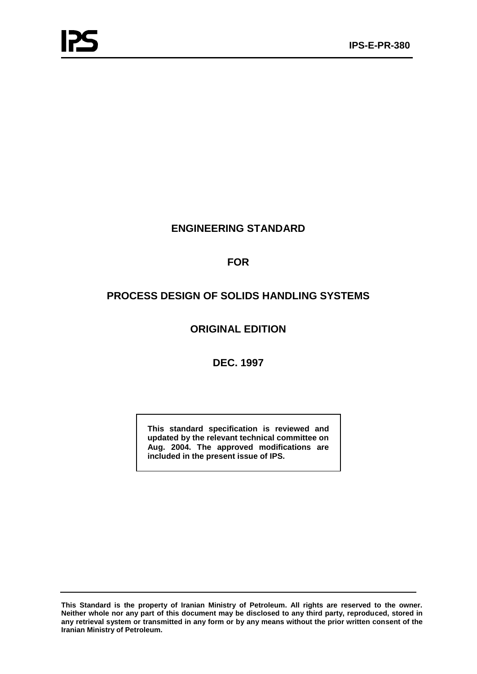# **ENGINEERING STANDARD**

# **FOR**

# **PROCESS DESIGN OF SOLIDS HANDLING SYSTEMS**

# **ORIGINAL EDITION**

# **DEC. 1997**

**This standard specification is reviewed and updated by the relevant technical committee on Aug. 2004. The approved modifications are included in the present issue of IPS.**

**This Standard is the property of Iranian Ministry of Petroleum. All rights are reserved to the owner. Neither whole nor any part of this document may be disclosed to any third party, reproduced, stored in any retrieval system or transmitted in any form or by any means without the prior written consent of the Iranian Ministry of Petroleum.**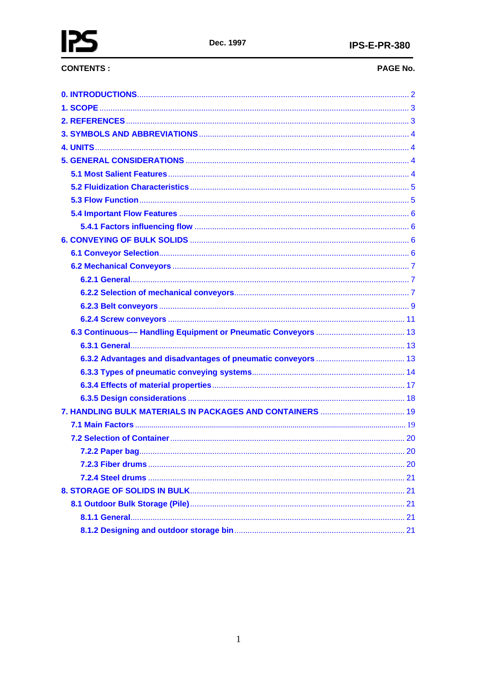# **CONTENTS:**

# PAGE No.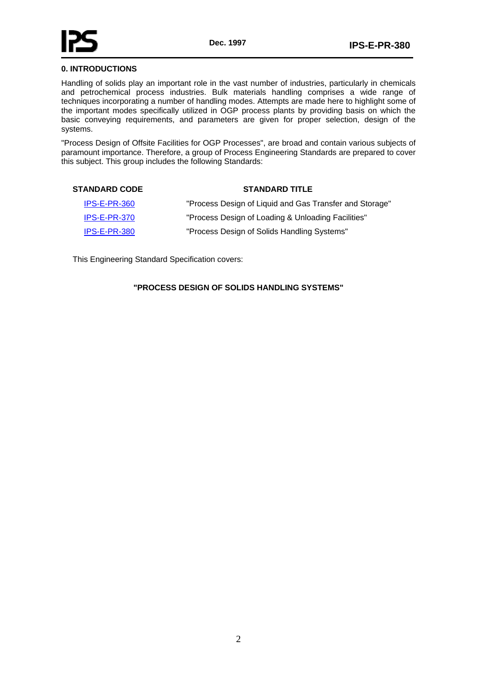# <span id="page-2-0"></span>**0. INTRODUCTIONS**

Handling of solids play an important role in the vast number of industries, particularly in chemicals and petrochemical process industries. Bulk materials handling comprises a wide range of techniques incorporating a number of handling modes. Attempts are made here to highlight some of the important modes specifically utilized in OGP process plants by providing basis on which the basic conveying requirements, and parameters are given for proper selection, design of the systems.

"Process Design of Offsite Facilities for OGP Processes", are broad and contain various subjects of paramount importance. Therefore, a group of Process Engineering Standards are prepared to cover this subject. This group includes the following Standards:

#### **STANDARD CODE STANDARD TITLE**

| IPS-E-PR-360 | "Process Design of Liquid and Gas Transfer and Storage" |
|--------------|---------------------------------------------------------|
| IPS-E-PR-370 | "Process Design of Loading & Unloading Facilities"      |
| IPS-E-PR-380 | "Process Design of Solids Handling Systems"             |

This Engineering Standard Specification covers:

#### **"PROCESS DESIGN OF SOLIDS HANDLING SYSTEMS"**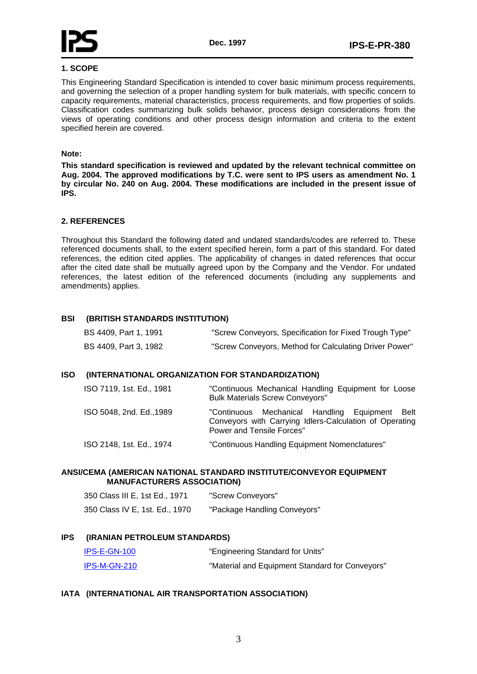<span id="page-3-0"></span>

#### **1. SCOPE**

This Engineering Standard Specification is intended to cover basic minimum process requirements, and governing the selection of a proper handling system for bulk materials, with specific concern to capacity requirements, material characteristics, process requirements, and flow properties of solids. Classification codes summarizing bulk solids behavior, process design considerations from the views of operating conditions and other process design information and criteria to the extent specified herein are covered.

#### **Note:**

**This standard specification is reviewed and updated by the relevant technical committee on Aug. 2004. The approved modifications by T.C. were sent to IPS users as amendment No. 1 by circular No. 240 on Aug. 2004. These modifications are included in the present issue of IPS.** 

#### **2. REFERENCES**

Throughout this Standard the following dated and undated standards/codes are referred to. These referenced documents shall, to the extent specified herein, form a part of this standard. For dated references, the edition cited applies. The applicability of changes in dated references that occur after the cited date shall be mutually agreed upon by the Company and the Vendor. For undated references, the latest edition of the referenced documents (including any supplements and amendments) applies.

### **BSI (BRITISH STANDARDS INSTITUTION)**

| BS 4409, Part 1, 1991 | "Screw Conveyors, Specification for Fixed Trough Type" |
|-----------------------|--------------------------------------------------------|
| BS 4409, Part 3, 1982 | "Screw Conveyors, Method for Calculating Driver Power" |

#### **ISO (INTERNATIONAL ORGANIZATION FOR STANDARDIZATION)**

| ISO 7119, 1st. Ed., 1981 | "Continuous Mechanical Handling Equipment for Loose<br><b>Bulk Materials Screw Conveyors"</b>                                          |
|--------------------------|----------------------------------------------------------------------------------------------------------------------------------------|
| ISO 5048, 2nd. Ed., 1989 | "Continuous Mechanical Handling Equipment Belt<br>Conveyors with Carrying Idlers-Calculation of Operating<br>Power and Tensile Forces" |
| ISO 2148, 1st. Ed., 1974 | "Continuous Handling Equipment Nomenclatures"                                                                                          |

#### **ANSI/CEMA (AMERICAN NATIONAL STANDARD INSTITUTE/CONVEYOR EQUIPMENT MANUFACTURERS ASSOCIATION)**

| 350 Class III E, 1st Ed., 1971 | "Screw Conveyors"            |
|--------------------------------|------------------------------|
| 350 Class IV E, 1st. Ed., 1970 | "Package Handling Conveyors" |

#### **IPS (IRANIAN PETROLEUM STANDARDS)**

| IPS-E-GN-100 | "Engineering Standard for Units"                |
|--------------|-------------------------------------------------|
| IPS-M-GN-210 | "Material and Equipment Standard for Conveyors" |

#### **IATA (INTERNATIONAL AIR TRANSPORTATION ASSOCIATION)**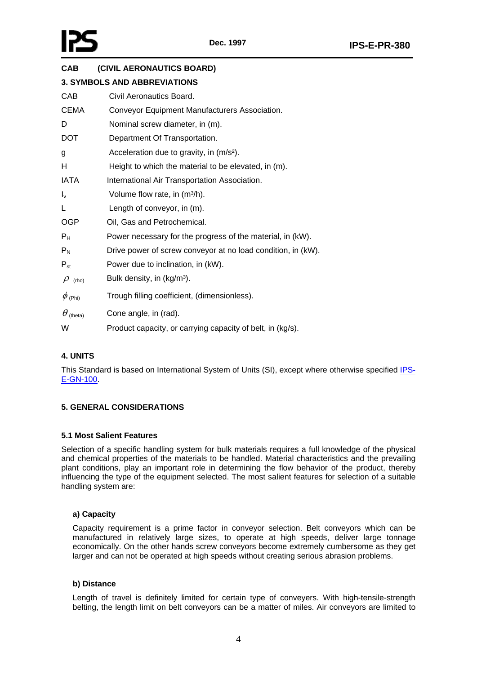<span id="page-4-0"></span>

# **CAB (CIVIL AERONAUTICS BOARD)**

|                           | <b>3. SYMBOLS AND ABBREVIATIONS</b>                          |
|---------------------------|--------------------------------------------------------------|
| CAB                       | Civil Aeronautics Board.                                     |
| CEMA                      | Conveyor Equipment Manufacturers Association.                |
| D                         | Nominal screw diameter, in (m).                              |
| <b>DOT</b>                | Department Of Transportation.                                |
| g                         | Acceleration due to gravity, in (m/s <sup>2</sup> ).         |
| н                         | Height to which the material to be elevated, in (m).         |
| <b>IATA</b>               | International Air Transportation Association.                |
| $I_{\mathsf{v}}$          | Volume flow rate, in (m <sup>3/h</sup> ).                    |
| L                         | Length of conveyor, in (m).                                  |
| <b>OGP</b>                | Oil, Gas and Petrochemical.                                  |
| $\mathsf{P}_\mathsf{H}$   | Power necessary for the progress of the material, in (kW).   |
| $\mathsf{P}_{\mathsf{N}}$ | Drive power of screw conveyor at no load condition, in (kW). |
| $\mathsf{P}_{\sf st}$     | Power due to inclination, in (kW).                           |
| $\rho$ (rho)              | Bulk density, in (kg/m <sup>3</sup> ).                       |
| $\phi$ (Phi)              | Trough filling coefficient, (dimensionless).                 |
| $\theta$ (theta)          | Cone angle, in (rad).                                        |
| W                         | Product capacity, or carrying capacity of belt, in (kg/s).   |

## **4. UNITS**

This Standard is based on International System of Units (SI), except where otherwise specified IPS-E-GN-100.

## **5. GENERAL CONSIDERATIONS**

#### **5.1 Most Salient Features**

Selection of a specific handling system for bulk materials requires a full knowledge of the physical and chemical properties of the materials to be handled. Material characteristics and the prevailing plant conditions, play an important role in determining the flow behavior of the product, thereby influencing the type of the equipment selected. The most salient features for selection of a suitable handling system are:

#### **a) Capacity**

Capacity requirement is a prime factor in conveyor selection. Belt conveyors which can be manufactured in relatively large sizes, to operate at high speeds, deliver large tonnage economically. On the other hands screw conveyors become extremely cumbersome as they get larger and can not be operated at high speeds without creating serious abrasion problems.

#### **b) Distance**

Length of travel is definitely limited for certain type of conveyers. With high-tensile-strength belting, the length limit on belt conveyors can be a matter of miles. Air conveyors are limited to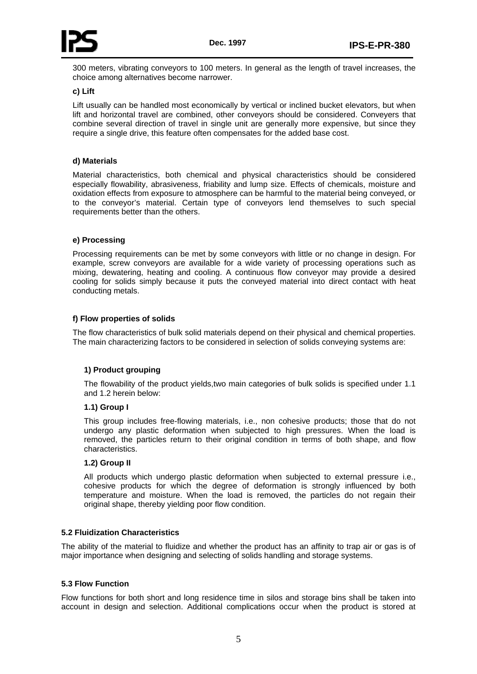<span id="page-5-0"></span>

300 meters, vibrating conveyors to 100 meters. In general as the length of travel increases, the choice among alternatives become narrower.

#### **c) Lift**

Lift usually can be handled most economically by vertical or inclined bucket elevators, but when lift and horizontal travel are combined, other conveyors should be considered. Conveyers that combine several direction of travel in single unit are generally more expensive, but since they require a single drive, this feature often compensates for the added base cost.

#### **d) Materials**

Material characteristics, both chemical and physical characteristics should be considered especially flowability, abrasiveness, friability and lump size. Effects of chemicals, moisture and oxidation effects from exposure to atmosphere can be harmful to the material being conveyed, or to the conveyor's material. Certain type of conveyors lend themselves to such special requirements better than the others.

#### **e) Processing**

Processing requirements can be met by some conveyors with little or no change in design. For example, screw conveyors are available for a wide variety of processing operations such as mixing, dewatering, heating and cooling. A continuous flow conveyor may provide a desired cooling for solids simply because it puts the conveyed material into direct contact with heat conducting metals.

### **f) Flow properties of solids**

The flow characteristics of bulk solid materials depend on their physical and chemical properties. The main characterizing factors to be considered in selection of solids conveying systems are:

#### **1) Product grouping**

The flowability of the product yields,two main categories of bulk solids is specified under 1.1 and 1.2 herein below:

#### **1.1) Group I**

This group includes free-flowing materials, i.e., non cohesive products; those that do not undergo any plastic deformation when subjected to high pressures. When the load is removed, the particles return to their original condition in terms of both shape, and flow characteristics.

#### **1.2) Group II**

All products which undergo plastic deformation when subjected to external pressure i.e., cohesive products for which the degree of deformation is strongly influenced by both temperature and moisture. When the load is removed, the particles do not regain their original shape, thereby yielding poor flow condition.

#### **5.2 Fluidization Characteristics**

The ability of the material to fluidize and whether the product has an affinity to trap air or gas is of major importance when designing and selecting of solids handling and storage systems.

#### **5.3 Flow Function**

Flow functions for both short and long residence time in silos and storage bins shall be taken into account in design and selection. Additional complications occur when the product is stored at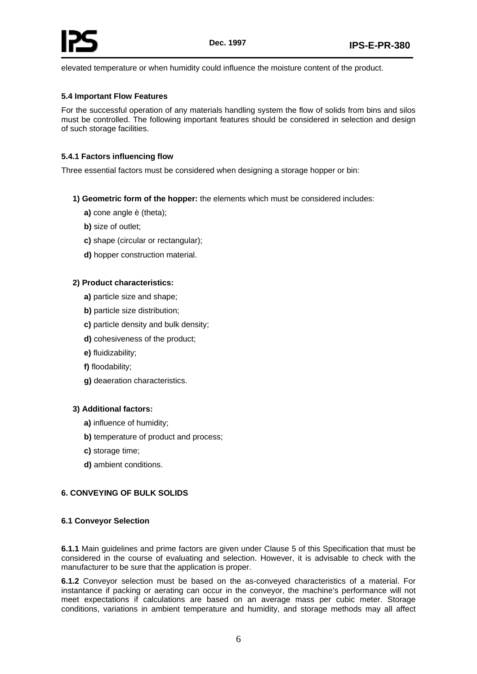<span id="page-6-0"></span>elevated temperature or when humidity could influence the moisture content of the product.

### **5.4 Important Flow Features**

For the successful operation of any materials handling system the flow of solids from bins and silos must be controlled. The following important features should be considered in selection and design of such storage facilities.

### **5.4.1 Factors influencing flow**

Three essential factors must be considered when designing a storage hopper or bin:

- **1) Geometric form of the hopper:** the elements which must be considered includes:
	- **a)** cone angle è (theta);
	- **b)** size of outlet;
	- **c)** shape (circular or rectangular);
	- **d)** hopper construction material.

### **2) Product characteristics:**

- **a)** particle size and shape;
- **b)** particle size distribution;
- **c)** particle density and bulk density;
- **d)** cohesiveness of the product;
- **e)** fluidizability;
- **f)** floodability;
- **g)** deaeration characteristics.

#### **3) Additional factors:**

- **a)** influence of humidity;
- **b)** temperature of product and process;
- **c)** storage time;
- **d)** ambient conditions.

## **6. CONVEYING OF BULK SOLIDS**

#### **6.1 Conveyor Selection**

**6.1.1** Main guidelines and prime factors are given under Clause 5 of this Specification that must be considered in the course of evaluating and selection. However, it is advisable to check with the manufacturer to be sure that the application is proper.

**6.1.2** Conveyor selection must be based on the as-conveyed characteristics of a material. For instantance if packing or aerating can occur in the conveyor, the machine's performance will not meet expectations if calculations are based on an average mass per cubic meter. Storage conditions, variations in ambient temperature and humidity, and storage methods may all affect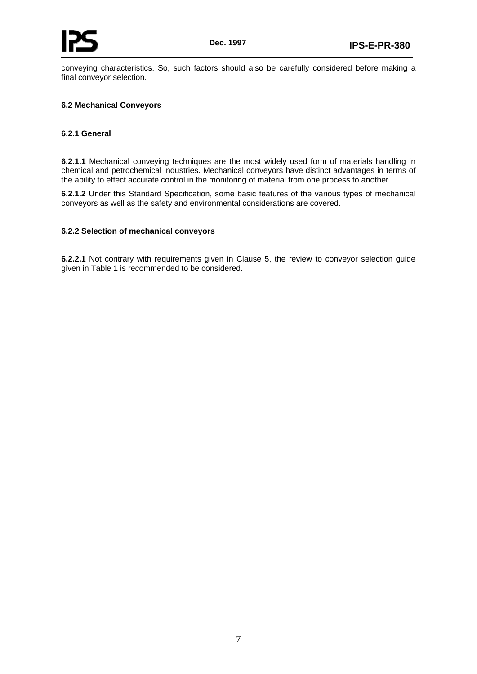<span id="page-7-0"></span>conveying characteristics. So, such factors should also be carefully considered before making a final conveyor selection.

#### **6.2 Mechanical Conveyors**

#### **6.2.1 General**

**6.2.1.1** Mechanical conveying techniques are the most widely used form of materials handling in chemical and petrochemical industries. Mechanical conveyors have distinct advantages in terms of the ability to effect accurate control in the monitoring of material from one process to another.

**6.2.1.2** Under this Standard Specification, some basic features of the various types of mechanical conveyors as well as the safety and environmental considerations are covered.

#### **6.2.2 Selection of mechanical conveyors**

**6.2.2.1** Not contrary with requirements given in Clause 5, the review to conveyor selection guide given in Table 1 is recommended to be considered.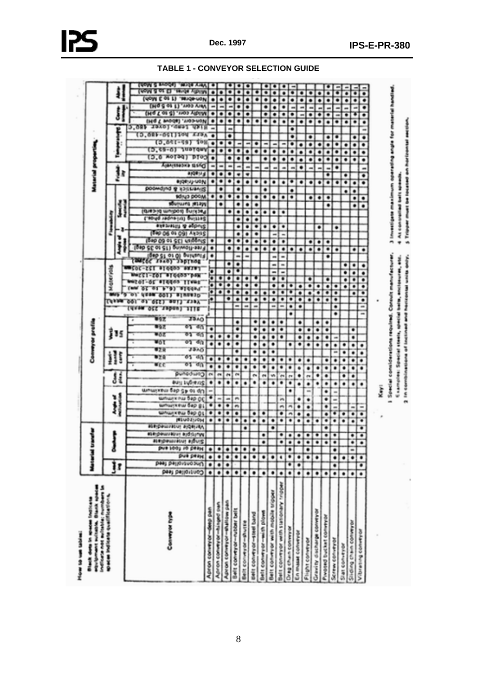| How to see today.                                                                                        |                      |                                       |           |                     |                       |                                                 |                              |                    |                  |                    |                 |                 |           |                  |          |                          |          |                       |            |      |                      |        |                             |               |                          |                                                        |                      |                     |                                                            |                         |             |                       |                               |                                                      |             |                           |                |             |                                              |                 |                |                     |                       |
|----------------------------------------------------------------------------------------------------------|----------------------|---------------------------------------|-----------|---------------------|-----------------------|-------------------------------------------------|------------------------------|--------------------|------------------|--------------------|-----------------|-----------------|-----------|------------------|----------|--------------------------|----------|-----------------------|------------|------|----------------------|--------|-----------------------------|---------------|--------------------------|--------------------------------------------------------|----------------------|---------------------|------------------------------------------------------------|-------------------------|-------------|-----------------------|-------------------------------|------------------------------------------------------|-------------|---------------------------|----------------|-------------|----------------------------------------------|-----------------|----------------|---------------------|-----------------------|
| POUSE KNOWNER PUTTING MAINTENANCE<br>In material (statistics screening<br>Black dots in spaces inclusive |                      | Manerial tran                         |           |                     |                       |                                                 |                              |                    |                  |                    |                 |                 |           |                  |          | compare profile          |          |                       |            |      |                      |        |                             |               |                          |                                                        |                      |                     |                                                            |                         |             |                       |                               | Material properties                                  |             |                           |                |             |                                              |                 |                |                     |                       |
| specification including and incorporate                                                                  |                      |                                       |           |                     |                       |                                                 |                              |                    |                  |                    |                 |                 |           |                  |          |                          |          |                       |            |      |                      |        | <b>Moter cals</b>           |               |                          |                                                        |                      |                     |                                                            |                         |             |                       |                               |                                                      |             |                           |                |             |                                              |                 |                |                     |                       |
|                                                                                                          | ļr                   |                                       |           |                     |                       |                                                 |                              | ij                 | ¥J               |                    | į               |                 |           | l<br>ĵ           |          | 15                       |          |                       |            | n va |                      |        |                             |               |                          | j                                                      |                      | э                   |                                                            | 1                       |             |                       | ł                             |                                                      | 1           |                           | f              |             | J                                            |                 |                | j                   |                       |
|                                                                                                          |                      |                                       |           |                     |                       |                                                 |                              |                    |                  |                    |                 |                 |           |                  |          |                          |          |                       |            |      |                      |        |                             |               |                          |                                                        |                      |                     |                                                            |                         |             |                       |                               |                                                      |             |                           |                |             |                                              |                 |                |                     |                       |
|                                                                                                          |                      |                                       |           |                     |                       |                                                 |                              |                    |                  |                    |                 |                 |           |                  |          |                          |          |                       |            |      |                      |        |                             |               |                          |                                                        |                      |                     |                                                            |                         |             |                       |                               |                                                      |             |                           | (3.681-641)194 | 3.081 1940) |                                              |                 |                |                     |                       |
|                                                                                                          |                      |                                       |           | <b>BURGHAMIRVIT</b> |                       |                                                 |                              |                    |                  |                    |                 |                 | ≡ce       | 87 E<br>87 S     | W61      | 見合き                      | W 6 7    | 183                   | acz        |      |                      |        |                             |               |                          |                                                        |                      |                     |                                                            |                         |             |                       |                               |                                                      | <b>10.0</b> | to. <del>ca - a</del> r   |                |             | IN 8 L                                       | <b>THIS COL</b> | (u0ys (: 0) 1) | <b>USA THE</b>      | <b>THEM IS EMPORT</b> |
| Canwyw type                                                                                              |                      |                                       | pure soo, |                     |                       |                                                 |                              |                    |                  |                    |                 |                 |           |                  |          |                          |          |                       | 710087     |      |                      |        |                             |               |                          |                                                        |                      |                     |                                                            |                         |             |                       |                               |                                                      | лотаат      |                           | $0.051 - 501$  | 17 福岡市      | Andreas 1                                    |                 |                |                     |                       |
|                                                                                                          | сопата редакција     | <b>Capacity</b><br>paas pasporsuoougs | ab peau   | <b>ANNIS</b>        | esemperature endoumen | <b>Marchanold</b><br><b>BURGHALLING BUSHING</b> | <b>William Filter Dep OL</b> | мильностью бар ру. | wheel the bap oc | wrwma fap gy os dn | anil Ingianit   | eunadura)       | ФT<br>¥η. | 3340<br>德型<br>福音 | তৰ<br>横作 | σn                       | 63<br>酒作 | 39.AD                 |            |      |                      |        |                             | льков звотное | (Rep sit on o) avintanti | (640.09.91.9E) usidenzi<br>test 20 or 21) enimoli-ssif | (Dap OS 91 OG) ANDRE | enezatora de adonça | (Ques-pa sumport) Gurinae,<br>Capital requestion positions | <b>Magazine William</b> | sónya poom. | DOOMOING @ 13(LLIANIS | 499年14日<br><b>BUORNAL-UON</b> | Automotive by Started                                | DT 03.      | 1011<br><b>THE LEADER</b> |                |             | (MGT 01-03 - YNO) VRHIM<br><b>LIBERATURE</b> | LE AREE ARM     | "RIGHWON       | <b>SALON ALDING</b> | THE POST ASSAULT.     |
| Apron conveyor-deep pan                                                                                  | ۰                    | ۰<br>۰                                | ۰         |                     |                       | ۰                                               | ٠                            | ۰                  | ۰                | ÷                  | ۰               | 479             | ۰<br>۰    |                  | ۰        | ٠                        | ۰        |                       |            | ۳    | ×                    | 5<br>Σ | ×                           |               | ۰                        | ۰<br>۰                                                 |                      |                     |                                                            |                         |             |                       | ۰<br>۰                        | m                                                    | ۰           | ۰<br>۰                    |                |             | ۰                                            | ÷               | ٠              |                     |                       |
| Apron conveyor -hinged pun                                                                               | ٠                    | Ŧ<br>۰                                | ۰         |                     |                       | ۰                                               | ۰                            | ۰                  | m                |                    | ٠               | ۰<br><b>ISS</b> | ۰         |                  | ۰        | ٠                        |          |                       |            |      | ۰                    | ⊪<br>۰ |                             |               |                          |                                                        |                      |                     |                                                            | ۰                       | ٠           | ۰                     | ۰<br>۰                        | ÷                                                    |             | ٠<br>۰                    |                |             | ۰<br>٠                                       | m.              | ٠              | ۰<br>۰              |                       |
| Apron conveyor thallow pan                                                                               | Ŧ                    | ō<br>٠                                | ۰         |                     |                       | ۰                                               | ٠                            | ٠                  | m                |                    | ٠               | ۰<br>e.         | ۰         |                  | ۰        | ٠                        |          |                       |            | ۰.   | ۰                    | ۰<br>۰ | ۰                           | ۰             |                          | ۰<br>۰                                                 |                      |                     | ۰                                                          |                         | ۰           |                       | ۰<br>۰                        | ÷                                                    | ۰           | ۰<br>۰                    | ۰              |             | ۰<br>۰                                       | <b>The Co</b>   | ۰              | $\blacksquare$      |                       |
| Belt conveyor-nober belt                                                                                 | $\overline{\bullet}$ | Ŧ                                     | ۰         |                     |                       | ۰                                               | ۰                            | m                  | m                |                    | ۰               | ۰<br>选择         | ۰         | ۰                | ۰        | ٠                        | ۰<br>۰   |                       | m          | ۰    | ۰<br>۰               | ۰      | ж                           | ۰             | m,                       | ۰<br>۰                                                 | m                    | ۰                   | ۰<br>۰                                                     | ۰                       | ۰           | ۰                     | 躗<br>۰                        | <b>SILL</b>                                          | ۰           | ÷<br>۰                    |                |             | ۰<br>۰                                       | ÷               | ۰              | œ.                  |                       |
| Belt conveyor-shuttle                                                                                    | ۰                    | ۰                                     | ۰         |                     | ۰                     | ۰                                               |                              |                    |                  |                    | ۰               | ۰               | ٠         |                  |          |                          |          |                       | ÷          | ۰    | ۰                    | ۰<br>۰ |                             |               | <b>INC</b>               | ۰<br>۰                                                 | ۰                    | ٠                   | ٠<br>۰                                                     | ۰                       | ۰           |                       | w.<br>۰.                      | ÷                                                    | ۰           | m.<br>۰                   |                |             | ۰<br>۰                                       | ۰               | ۰              |                     |                       |
| <b>Belt conveyor-steel tand</b>                                                                          | ۰                    | ۰                                     | ۰         |                     |                       | ۰                                               | ۰                            |                    |                  |                    | ۰               | ٠<br><b>STA</b> | ٠         | ۰                | ۰        | ۰                        | ۰<br>۰   |                       | œ.         | ۰    | ۰                    | т<br>۰ |                             |               |                          | ۰<br>٠                                                 | ۰                    | ۰                   | ۰<br>۰                                                     | ۰                       | ۰           |                       | ۰                             |                                                      |             | ۰<br>۰                    |                | ۰           |                                              |                 |                |                     |                       |
| Belt conveyor -with plows                                                                                | ۰                    | ۰                                     |           | ۰                   | æ.                    | ۰                                               | ۰                            |                    |                  |                    | ۰               | ۰<br>π          | ٠         | ۰                | ۰        | ۰                        | ۰<br>۰   |                       |            | ۰    | ۰                    |        |                             |               |                          | ۰<br>۰                                                 |                      |                     | ۰                                                          |                         | ۰           | ۰<br>۰                |                               |                                                      | ۰           | <b>COL</b><br>٠           |                |             | ۰<br>۰                                       | ۰               | ۰              | ۰                   |                       |
| Belt conveyor with mother tripper                                                                        | ۰                    | ۰                                     |           |                     | ۰                     | ۰                                               |                              |                    |                  |                    | ۰               | ۰<br>w          | ۰         | ۰                | ۰        | ۰                        | ۰<br>۰   |                       | m.         | ۰    | ۰<br>٠               | ۰      |                             | m             | œ.                       | ۰<br>۰                                                 |                      |                     | ۰                                                          |                         | ۰           | ۰                     |                               |                                                      | ۰           | <b>COLOR</b><br>۰         |                |             | ۰                                            |                 |                |                     |                       |
| Belt conveyor with stationary inpper                                                                     | ۰                    | ۹                                     |           | ۰                   | ٠                     | ۰                                               | ۰                            | m                  | m                |                    | <b>TEL</b><br>۰ | ۰               | ۰         |                  |          | ۰                        | ۰<br>۰   |                       | <b>COL</b> | ۰    | ۰<br>۰               | ۰      | <b>The Contract</b>         | ÷             | ш                        | ۰<br>۰                                                 |                      | ٠                   | ۰                                                          |                         | ۰           | ۰                     |                               |                                                      | ۰           | <b>STEP</b><br>۰          |                | ۰           | ۰                                            | ۰               | ۰              | œ.                  |                       |
| <b>Drag chan conveyed</b>                                                                                | ۰                    | ۰<br>¥                                | o         | ۰                   |                       | ٠                                               | 画                            | 柵                  |                  | ۰                  | 99<br>٠         | ۰               | ٠         |                  | ۰        |                          |          | ۰                     | ۰          | ۰    | ۰<br>т               |        |                             |               |                          | ۰                                                      |                      |                     |                                                            |                         | ۰           | ۰<br>۰                |                               |                                                      | ۰<br>٠      | ۰                         | ۰              | ۰<br>۰      | ٠                                            | m               | ۰              | т                   |                       |
| En musse conveyor                                                                                        | ٠                    | ۰<br>Ŧ                                |           | Ŧ                   |                       | ۰                                               | ۰                            | ۰                  | ۰                |                    | œ.              | ۰<br>۰          | ۰         |                  | ۰        | ۰                        | ۰<br>۰   |                       | ۰          | ۰    | ۰<br>۰               |        |                             |               |                          | ۰                                                      |                      |                     |                                                            |                         |             | ۰                     |                               | ۰                                                    | ۰<br>٠      | ۰                         |                | ۰           | and i                                        | œ.              | ۰              | ۰                   |                       |
| Flight conveyor                                                                                          | ۰                    | ۰                                     | ۰         | ۰                   | ۰                     | ۰                                               | ۰                            | ۰                  | ٠                | ÷                  | and .<br>۰      | ۰               | ۰         |                  | ۰        | ۰                        | ۰        |                       |            | ۰    | ۰<br>۰               | ٠      |                             |               |                          | ۰<br>۰                                                 |                      |                     |                                                            |                         | ۰           | ۰                     |                               | m                                                    | ۰<br>۰      | ٠                         | ۰              | ۰           | ۰                                            |                 | ۰              | ۰                   |                       |
| Gravity discharge comeyor                                                                                | ۰                    | ۰                                     |           | ۰                   |                       | ۰                                               |                              |                    |                  |                    |                 | ۰<br>۰          |           |                  | ۰        | ۰                        | ۰<br>۰   |                       |            | ۰.   | ۰<br>۰               |        |                             |               |                          | ۰<br>٠                                                 |                      | ۰                   |                                                            |                         | ۰           | ۰                     |                               | and i                                                | ۰<br>۰      | ٠                         |                | ۰           |                                              |                 | ۰              | œ.                  |                       |
| Pinosed bucket conveyor                                                                                  | ۰                    |                                       |           | ī                   | ۰                     | ۰                                               | ۰                            | ۰                  | ۰                | ۰                  | ۰<br>۰          | ۰               | ۰         |                  | ۰        | ۰                        | ۰<br>۰   |                       |            | ۰    | ۰<br>۰               | ۰      |                             |               | ۰                        | ⊪<br>۰                                                 |                      |                     |                                                            | ۰                       | ۰           | ۰                     | Ŧ                             | ÷                                                    | ۰<br>۰      | ۰                         | ۰              | ۰           | ۰                                            | m               | ۰              | Ŧ                   |                       |
| Screw conveyor                                                                                           | ۰<br>۰               | ۰                                     | ۰         | ۰                   |                       | ۰                                               | ۰                            |                    | m                | <b>ISS</b>         | ۰               | ۰               | ۰         | <b>TEN</b>       | ٠        |                          |          | ۰                     | ۰          | ۰    | ۰<br>۰               |        |                             |               |                          | ۰                                                      |                      | ۰                   |                                                            |                         |             | ۰                     |                               | ۰                                                    | ۰<br>۰      | ۰                         | ۰              | ۰           | m                                            | m               | ۰              |                     |                       |
| Siat conveyor                                                                                            | ۰                    | ۰                                     |           |                     |                       | ۰                                               | ۰                            |                    |                  |                    | ۰<br>۰          | ۰               | ۰         | ۰                | ۰        |                          |          |                       |            |      | ۰                    | ۰      | ۰                           | ۰             |                          |                                                        |                      |                     |                                                            |                         |             | ۰<br>œ.               | ۰                             |                                                      | ۰<br>٠      | ۰                         |                | ۰           | ۰                                            | œ.              | ۰              | ۰                   |                       |
| Stiding chain conveyor                                                                                   | ۰                    | ۰                                     | œ.        | ÷<br>÷              |                       | ۰                                               | ۰                            | m                  |                  |                    | ۰<br>۰          | ۰               | ۰         | ٠                | ٠        | ۰                        | ۰        |                       |            |      | ٠<br>۰               | ٠      | ۰                           | ۰             |                          | ۰                                                      |                      |                     |                                                            | ۰                       | ۰           | ۰<br>۰                |                               |                                                      | ۰<br>۰      | ۰                         | ۰              | ۰           |                                              | <b>HOTE</b>     | ۰              | ۰                   |                       |
| Vibrating commyon                                                                                        | ۰                    | Ŧ<br>Ŧ                                |           | ×<br>۰              | ۰                     | ۰                                               | ۰                            | <b>BRIT</b>        |                  |                    | ۰               | ٠               |           | ٠                | ۰        |                          |          | <b>BB</b>             | m          | ۰    | ۰<br>Ŧ               | ۰      | ۰                           | ۰             | ۰                        |                                                        |                      |                     |                                                            | ۰                       | ۰           | ۰                     | ۰                             | e.                                                   | ۰<br>٠      | ۰                         | ۰              | ۰<br>÷      | ۰                                            | ۰               | ۰<br>۰         |                     |                       |
|                                                                                                          |                      |                                       |           |                     |                       |                                                 |                              |                    |                  | ğ                  |                 |                 |           |                  |          |                          |          |                       |            |      |                      |        |                             |               |                          |                                                        |                      |                     |                                                            |                         |             |                       |                               |                                                      |             |                           |                |             |                                              |                 |                |                     |                       |
|                                                                                                          |                      |                                       |           |                     |                       |                                                 |                              |                    | <b>DRI</b>       | Special            |                 |                 |           |                  |          | considerations required. |          |                       |            |      |                      |        | <b>Consult manufacturer</b> |               |                          | 編                                                      |                      |                     |                                                            |                         |             |                       |                               | Investigate maximum operating angle for material har |             |                           |                |             |                                              |                 |                |                     |                       |
|                                                                                                          |                      |                                       |           |                     |                       |                                                 |                              |                    |                  |                    | <b>Larright</b> |                 |           |                  |          | Special steels,          |          | <b>Bally Maryland</b> | į          |      | Belleville (Contact) |        |                             |               |                          |                                                        | ŧ                    | <b>Contract</b>     |                                                            | ī                       | Ī           |                       |                               |                                                      |             |                           |                |             |                                              |                 |                |                     |                       |
|                                                                                                          |                      |                                       |           |                     |                       |                                                 |                              |                    | é,               | C                  |                 |                 |           |                  |          |                          |          |                       |            |      |                      |        |                             |               |                          |                                                        |                      |                     |                                                            |                         |             |                       |                               |                                                      |             |                           |                |             |                                              |                 |                |                     |                       |

# **TABLE 1 - CONVEYOR SELECTION GUIDE**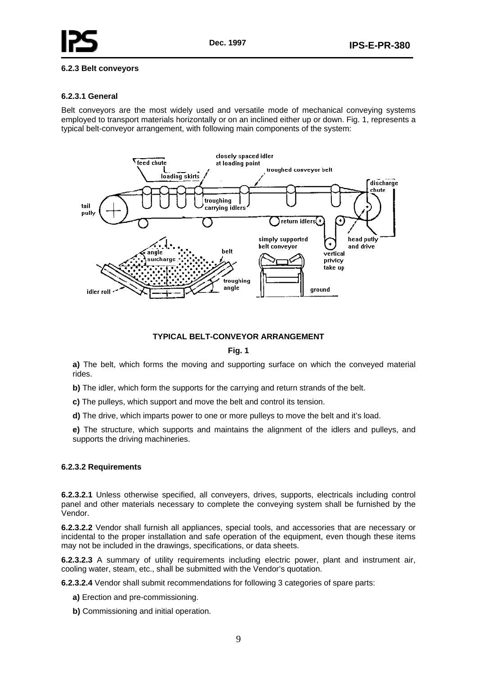<span id="page-9-0"></span>

#### **6.2.3 Belt conveyors**

#### **6.2.3.1 General**

Belt conveyors are the most widely used and versatile mode of mechanical conveying systems employed to transport materials horizontally or on an inclined either up or down. Fig. 1, represents a typical belt-conveyor arrangement, with following main components of the system:



### **TYPICAL BELT-CONVEYOR ARRANGEMENT**

#### **Fig. 1**

**a)** The belt, which forms the moving and supporting surface on which the conveyed material rides.

**b)** The idler, which form the supports for the carrying and return strands of the belt.

**c)** The pulleys, which support and move the belt and control its tension.

**d)** The drive, which imparts power to one or more pulleys to move the belt and it's load.

**e)** The structure, which supports and maintains the alignment of the idlers and pulleys, and supports the driving machineries.

#### **6.2.3.2 Requirements**

**6.2.3.2.1** Unless otherwise specified, all conveyers, drives, supports, electricals including control panel and other materials necessary to complete the conveying system shall be furnished by the Vendor.

**6.2.3.2.2** Vendor shall furnish all appliances, special tools, and accessories that are necessary or incidental to the proper installation and safe operation of the equipment, even though these items may not be included in the drawings, specifications, or data sheets.

**6.2.3.2.3** A summary of utility requirements including electric power, plant and instrument air, cooling water, steam, etc., shall be submitted with the Vendor's quotation.

**6.2.3.2.4** Vendor shall submit recommendations for following 3 categories of spare parts:

- **a)** Erection and pre-commissioning.
- **b)** Commissioning and initial operation.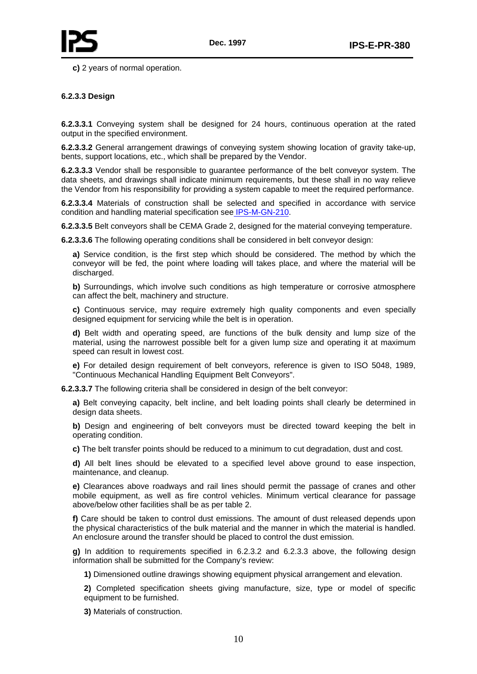**c)** 2 years of normal operation.

#### **6.2.3.3 Design**

**6.2.3.3.1** Conveying system shall be designed for 24 hours, continuous operation at the rated output in the specified environment.

**6.2.3.3.2** General arrangement drawings of conveying system showing location of gravity take-up, bents, support locations, etc., which shall be prepared by the Vendor.

**6.2.3.3.3** Vendor shall be responsible to guarantee performance of the belt conveyor system. The data sheets, and drawings shall indicate minimum requirements, but these shall in no way relieve the Vendor from his responsibility for providing a system capable to meet the required performance.

**6.2.3.3.4** Materials of construction shall be selected and specified in accordance with service condition and handling material specification see IPS-M-GN-210.

**6.2.3.3.5** Belt conveyors shall be CEMA Grade 2, designed for the material conveying temperature.

**6.2.3.3.6** The following operating conditions shall be considered in belt conveyor design:

**a)** Service condition, is the first step which should be considered. The method by which the conveyor will be fed, the point where loading will takes place, and where the material will be discharged.

**b)** Surroundings, which involve such conditions as high temperature or corrosive atmosphere can affect the belt, machinery and structure.

**c)** Continuous service, may require extremely high quality components and even specially designed equipment for servicing while the belt is in operation.

**d)** Belt width and operating speed, are functions of the bulk density and lump size of the material, using the narrowest possible belt for a given lump size and operating it at maximum speed can result in lowest cost.

**e)** For detailed design requirement of belt conveyors, reference is given to ISO 5048, 1989, "Continuous Mechanical Handling Equipment Belt Conveyors".

**6.2.3.3.7** The following criteria shall be considered in design of the belt conveyor:

**a)** Belt conveying capacity, belt incline, and belt loading points shall clearly be determined in design data sheets.

**b)** Design and engineering of belt conveyors must be directed toward keeping the belt in operating condition.

**c)** The belt transfer points should be reduced to a minimum to cut degradation, dust and cost.

**d)** All belt lines should be elevated to a specified level above ground to ease inspection, maintenance, and cleanup.

**e)** Clearances above roadways and rail lines should permit the passage of cranes and other mobile equipment, as well as fire control vehicles. Minimum vertical clearance for passage above/below other facilities shall be as per table 2.

**f)** Care should be taken to control dust emissions. The amount of dust released depends upon the physical characteristics of the bulk material and the manner in which the material is handled. An enclosure around the transfer should be placed to control the dust emission.

**g)** In addition to requirements specified in 6.2.3.2 and 6.2.3.3 above, the following design information shall be submitted for the Company's review:

**1)** Dimensioned outline drawings showing equipment physical arrangement and elevation.

**2)** Completed specification sheets giving manufacture, size, type or model of specific equipment to be furnished.

**3)** Materials of construction.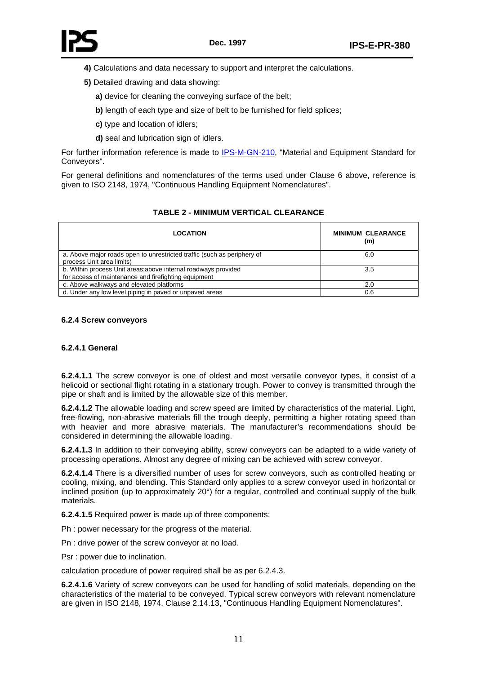- <span id="page-11-0"></span>**4)** Calculations and data necessary to support and interpret the calculations.
- **5)** Detailed drawing and data showing:
	- **a)** device for cleaning the conveying surface of the belt;
	- **b)** length of each type and size of belt to be furnished for field splices:
	- **c)** type and location of idlers;
	- **d)** seal and lubrication sign of idlers.

For further information reference is made to **IPS-M-GN-210**, "Material and Equipment Standard for Conveyors".

For general definitions and nomenclatures of the terms used under Clause 6 above, reference is given to ISO 2148, 1974, "Continuous Handling Equipment Nomenclatures".

### **TABLE 2 - MINIMUM VERTICAL CLEARANCE**

| <b>LOCATION</b>                                                                                                        | <b>MINIMUM CLEARANCE</b><br>(m) |
|------------------------------------------------------------------------------------------------------------------------|---------------------------------|
| a. Above major roads open to unrestricted traffic (such as periphery of<br>process Unit area limits)                   | 6.0                             |
| b. Within process Unit areas: above internal roadways provided<br>for access of maintenance and firefighting equipment | 3.5                             |
| c. Above walkways and elevated platforms                                                                               | 2.0                             |
| d. Under any low level piping in paved or unpaved areas                                                                | 0.6                             |

#### **6.2.4 Screw conveyors**

#### **6.2.4.1 General**

**6.2.4.1.1** The screw conveyor is one of oldest and most versatile conveyor types, it consist of a helicoid or sectional flight rotating in a stationary trough. Power to convey is transmitted through the pipe or shaft and is limited by the allowable size of this member.

**6.2.4.1.2** The allowable loading and screw speed are limited by characteristics of the material. Light, free-flowing, non-abrasive materials fill the trough deeply, permitting a higher rotating speed than with heavier and more abrasive materials. The manufacturer's recommendations should be considered in determining the allowable loading.

**6.2.4.1.3** In addition to their conveying ability, screw conveyors can be adapted to a wide variety of processing operations. Almost any degree of mixing can be achieved with screw conveyor.

**6.2.4.1.4** There is a diversified number of uses for screw conveyors, such as controlled heating or cooling, mixing, and blending. This Standard only applies to a screw conveyor used in horizontal or inclined position (up to approximately 20°) for a regular, controlled and continual supply of the bulk materials.

**6.2.4.1.5** Required power is made up of three components:

Ph : power necessary for the progress of the material.

Pn : drive power of the screw conveyor at no load.

Psr : power due to inclination.

calculation procedure of power required shall be as per 6.2.4.3.

**6.2.4.1.6** Variety of screw conveyors can be used for handling of solid materials, depending on the characteristics of the material to be conveyed. Typical screw conveyors with relevant nomenclature are given in ISO 2148, 1974, Clause 2.14.13, "Continuous Handling Equipment Nomenclatures".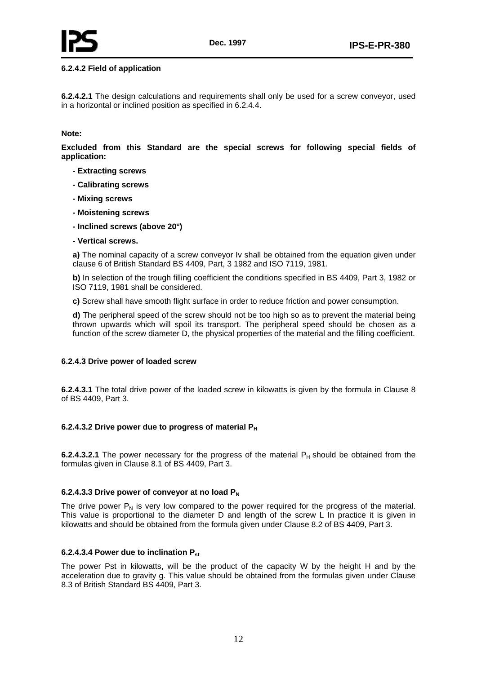#### **6.2.4.2 Field of application**

**6.2.4.2.1** The design calculations and requirements shall only be used for a screw conveyor, used in a horizontal or inclined position as specified in 6.2.4.4.

#### **Note:**

**Excluded from this Standard are the special screws for following special fields of application:** 

- **Extracting screws**
- **Calibrating screws**
- **Mixing screws**
- **Moistening screws**
- **Inclined screws (above 20°)**
- **Vertical screws.**

**a)** The nominal capacity of a screw conveyor Iv shall be obtained from the equation given under clause 6 of British Standard BS 4409, Part, 3 1982 and ISO 7119, 1981.

**b)** In selection of the trough filling coefficient the conditions specified in BS 4409, Part 3, 1982 or ISO 7119, 1981 shall be considered.

**c)** Screw shall have smooth flight surface in order to reduce friction and power consumption.

**d)** The peripheral speed of the screw should not be too high so as to prevent the material being thrown upwards which will spoil its transport. The peripheral speed should be chosen as a function of the screw diameter D, the physical properties of the material and the filling coefficient.

#### **6.2.4.3 Drive power of loaded screw**

**6.2.4.3.1** The total drive power of the loaded screw in kilowatts is given by the formula in Clause 8 of BS 4409, Part 3.

#### **6.2.4.3.2 Drive power due to progress of material PH**

**6.2.4.3.2.1** The power necessary for the progress of the material  $P_H$  should be obtained from the formulas given in Clause 8.1 of BS 4409, Part 3.

#### **6.2.4.3.3 Drive power of conveyor at no load PN**

The drive power  $P_N$  is very low compared to the power required for the progress of the material. This value is proportional to the diameter D and length of the screw L In practice it is given in kilowatts and should be obtained from the formula given under Clause 8.2 of BS 4409, Part 3.

#### **6.2.4.3.4 Power due to inclination Pst**

The power Pst in kilowatts, will be the product of the capacity W by the height H and by the acceleration due to gravity g. This value should be obtained from the formulas given under Clause 8.3 of British Standard BS 4409, Part 3.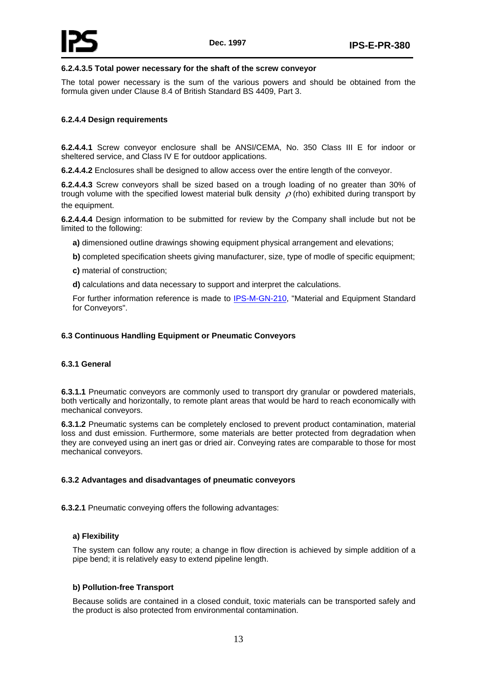<span id="page-13-0"></span>

#### **6.2.4.3.5 Total power necessary for the shaft of the screw conveyor**

The total power necessary is the sum of the various powers and should be obtained from the formula given under Clause 8.4 of British Standard BS 4409, Part 3.

#### **6.2.4.4 Design requirements**

**6.2.4.4.1** Screw conveyor enclosure shall be ANSI/CEMA, No. 350 Class III E for indoor or sheltered service, and Class IV E for outdoor applications.

**6.2.4.4.2** Enclosures shall be designed to allow access over the entire length of the conveyor.

**6.2.4.4.3** Screw conveyors shall be sized based on a trough loading of no greater than 30% of trough volume with the specified lowest material bulk density  $\rho$  (rho) exhibited during transport by the equipment.

**6.2.4.4.4** Design information to be submitted for review by the Company shall include but not be limited to the following:

- **a)** dimensioned outline drawings showing equipment physical arrangement and elevations;
- **b)** completed specification sheets giving manufacturer, size, type of modle of specific equipment;
- **c)** material of construction;
- **d)** calculations and data necessary to support and interpret the calculations.

For further information reference is made to IPS-M-GN-210, "Material and Equipment Standard for Conveyors".

#### **6.3 Continuous Handling Equipment or Pneumatic Conveyors**

#### **6.3.1 General**

**6.3.1.1** Pneumatic conveyors are commonly used to transport dry granular or powdered materials, both vertically and horizontally, to remote plant areas that would be hard to reach economically with mechanical conveyors.

**6.3.1.2** Pneumatic systems can be completely enclosed to prevent product contamination, material loss and dust emission. Furthermore, some materials are better protected from degradation when they are conveyed using an inert gas or dried air. Conveying rates are comparable to those for most mechanical conveyors.

#### **6.3.2 Advantages and disadvantages of pneumatic conveyors**

**6.3.2.1** Pneumatic conveying offers the following advantages:

#### **a) Flexibility**

The system can follow any route; a change in flow direction is achieved by simple addition of a pipe bend; it is relatively easy to extend pipeline length.

#### **b) Pollution-free Transport**

Because solids are contained in a closed conduit, toxic materials can be transported safely and the product is also protected from environmental contamination.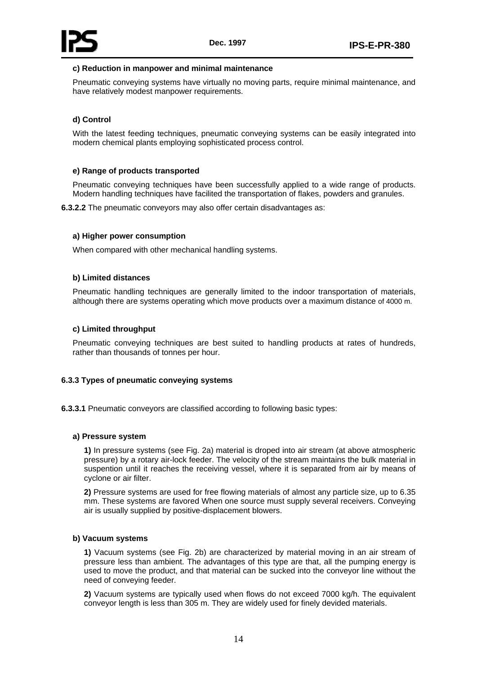<span id="page-14-0"></span>

#### **c) Reduction in manpower and minimal maintenance**

Pneumatic conveying systems have virtually no moving parts, require minimal maintenance, and have relatively modest manpower requirements.

## **d) Control**

With the latest feeding techniques, pneumatic conveying systems can be easily integrated into modern chemical plants employing sophisticated process control.

#### **e) Range of products transported**

Pneumatic conveying techniques have been successfully applied to a wide range of products. Modern handling techniques have facilited the transportation of flakes, powders and granules.

**6.3.2.2** The pneumatic conveyors may also offer certain disadvantages as:

#### **a) Higher power consumption**

When compared with other mechanical handling systems.

#### **b) Limited distances**

Pneumatic handling techniques are generally limited to the indoor transportation of materials, although there are systems operating which move products over a maximum distance of 4000 m.

#### **c) Limited throughput**

Pneumatic conveying techniques are best suited to handling products at rates of hundreds, rather than thousands of tonnes per hour.

#### **6.3.3 Types of pneumatic conveying systems**

**6.3.3.1** Pneumatic conveyors are classified according to following basic types:

#### **a) Pressure system**

**1)** In pressure systems (see Fig. 2a) material is droped into air stream (at above atmospheric pressure) by a rotary air-lock feeder. The velocity of the stream maintains the bulk material in suspention until it reaches the receiving vessel, where it is separated from air by means of cyclone or air filter.

**2)** Pressure systems are used for free flowing materials of almost any particle size, up to 6.35 mm. These systems are favored When one source must supply several receivers. Conveying air is usually supplied by positive-displacement blowers.

#### **b) Vacuum systems**

**1)** Vacuum systems (see Fig. 2b) are characterized by material moving in an air stream of pressure less than ambient. The advantages of this type are that, all the pumping energy is used to move the product, and that material can be sucked into the conveyor line without the need of conveying feeder.

**2)** Vacuum systems are typically used when flows do not exceed 7000 kg/h. The equivalent conveyor length is less than 305 m. They are widely used for finely devided materials.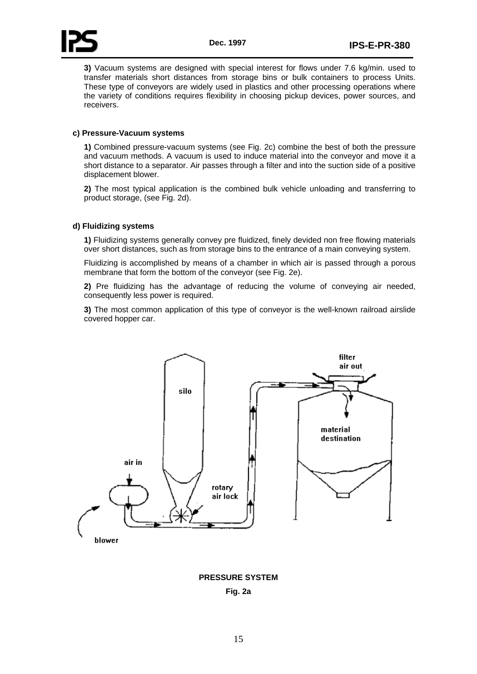**3)** Vacuum systems are designed with special interest for flows under 7.6 kg/min. used to transfer materials short distances from storage bins or bulk containers to process Units. These type of conveyors are widely used in plastics and other processing operations where the variety of conditions requires flexibility in choosing pickup devices, power sources, and receivers.

#### **c) Pressure-Vacuum systems**

**1)** Combined pressure-vacuum systems (see Fig. 2c) combine the best of both the pressure and vacuum methods. A vacuum is used to induce material into the conveyor and move it a short distance to a separator. Air passes through a filter and into the suction side of a positive displacement blower.

**2)** The most typical application is the combined bulk vehicle unloading and transferring to product storage, (see Fig. 2d).

#### **d) Fluidizing systems**

**1)** Fluidizing systems generally convey pre fluidized, finely devided non free flowing materials over short distances, such as from storage bins to the entrance of a main conveying system.

Fluidizing is accomplished by means of a chamber in which air is passed through a porous membrane that form the bottom of the conveyor (see Fig. 2e).

**2)** Pre fluidizing has the advantage of reducing the volume of conveying air needed, consequently less power is required.

**3)** The most common application of this type of conveyor is the well-known railroad airslide covered hopper car.



**PRESSURE SYSTEM Fig. 2a**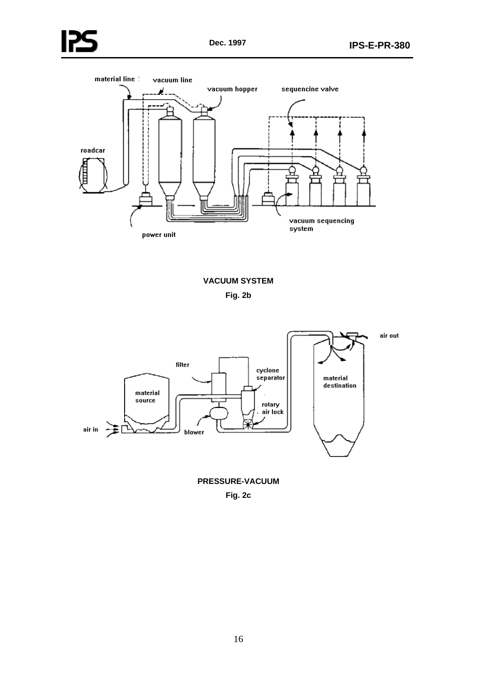



# **VACUUM SYSTEM Fig. 2b**



**PRESSURE-VACUUM Fig. 2c**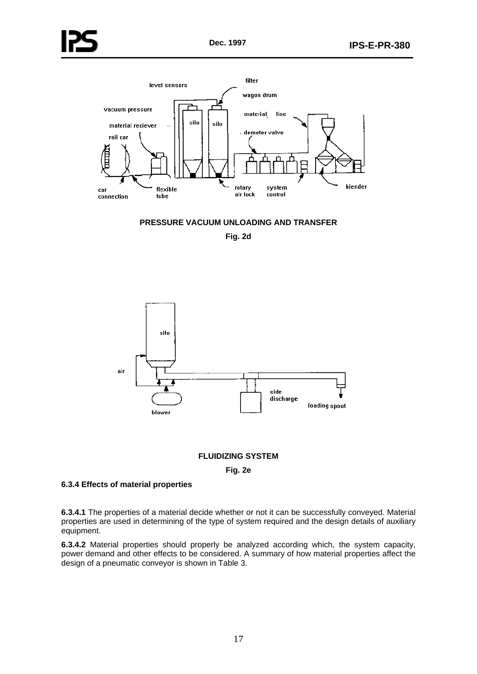<span id="page-17-0"></span>



**Fig. 2d** 



#### **FLUIDIZING SYSTEM**

**Fig. 2e** 

#### **6.3.4 Effects of material properties**

**6.3.4.1** The properties of a material decide whether or not it can be successfully conveyed. Material properties are used in determining of the type of system required and the design details of auxiliary equipment.

**6.3.4.2** Material properties should properly be analyzed according which, the system capacity, power demand and other effects to be considered. A summary of how material properties affect the design of a pneumatic conveyor is shown in Table 3.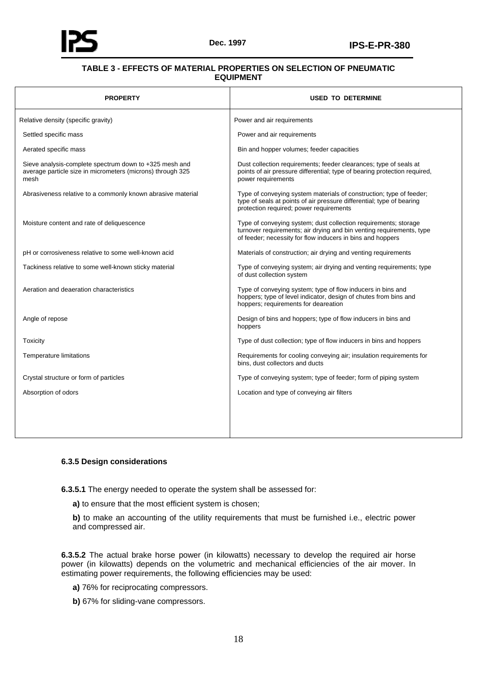<span id="page-18-0"></span>

## **TABLE 3 - EFFECTS OF MATERIAL PROPERTIES ON SELECTION OF PNEUMATIC EQUIPMENT**

| <b>PROPERTY</b>                                                                                                              | <b>USED TO DETERMINE</b>                                                                                                                                                                              |
|------------------------------------------------------------------------------------------------------------------------------|-------------------------------------------------------------------------------------------------------------------------------------------------------------------------------------------------------|
| Relative density (specific gravity)                                                                                          | Power and air requirements                                                                                                                                                                            |
| Settled specific mass                                                                                                        | Power and air requirements                                                                                                                                                                            |
| Aerated specific mass                                                                                                        | Bin and hopper volumes; feeder capacities                                                                                                                                                             |
| Sieve analysis-complete spectrum down to +325 mesh and<br>average particle size in micrometers (microns) through 325<br>mesh | Dust collection requirements; feeder clearances; type of seals at<br>points of air pressure differential; type of bearing protection required,<br>power requirements                                  |
| Abrasiveness relative to a commonly known abrasive material                                                                  | Type of conveying system materials of construction; type of feeder;<br>type of seals at points of air pressure differential; type of bearing<br>protection required; power requirements               |
| Moisture content and rate of deliquescence                                                                                   | Type of conveying system; dust collection requirements; storage<br>turnover requirements; air drying and bin venting requirements, type<br>of feeder; necessity for flow inducers in bins and hoppers |
| pH or corrosiveness relative to some well-known acid                                                                         | Materials of construction; air drying and venting requirements                                                                                                                                        |
| Tackiness relative to some well-known sticky material                                                                        | Type of conveying system; air drying and venting requirements; type<br>of dust collection system                                                                                                      |
| Aeration and deaeration characteristics                                                                                      | Type of conveying system; type of flow inducers in bins and<br>hoppers; type of level indicator, design of chutes from bins and<br>hoppers; requirements for deareation                               |
| Angle of repose                                                                                                              | Design of bins and hoppers; type of flow inducers in bins and<br>hoppers                                                                                                                              |
| Toxicity                                                                                                                     | Type of dust collection; type of flow inducers in bins and hoppers                                                                                                                                    |
| Temperature limitations                                                                                                      | Requirements for cooling conveying air; insulation requirements for<br>bins, dust collectors and ducts                                                                                                |
| Crystal structure or form of particles                                                                                       | Type of conveying system; type of feeder; form of piping system                                                                                                                                       |
| Absorption of odors                                                                                                          | Location and type of conveying air filters                                                                                                                                                            |
|                                                                                                                              |                                                                                                                                                                                                       |

#### **6.3.5 Design considerations**

**6.3.5.1** The energy needed to operate the system shall be assessed for:

**a)** to ensure that the most efficient system is chosen;

**b)** to make an accounting of the utility requirements that must be furnished i.e., electric power and compressed air.

**6.3.5.2** The actual brake horse power (in kilowatts) necessary to develop the required air horse power (in kilowatts) depends on the volumetric and mechanical efficiencies of the air mover. In estimating power requirements, the following efficiencies may be used:

**a)** 76% for reciprocating compressors.

**b)** 67% for sliding-vane compressors.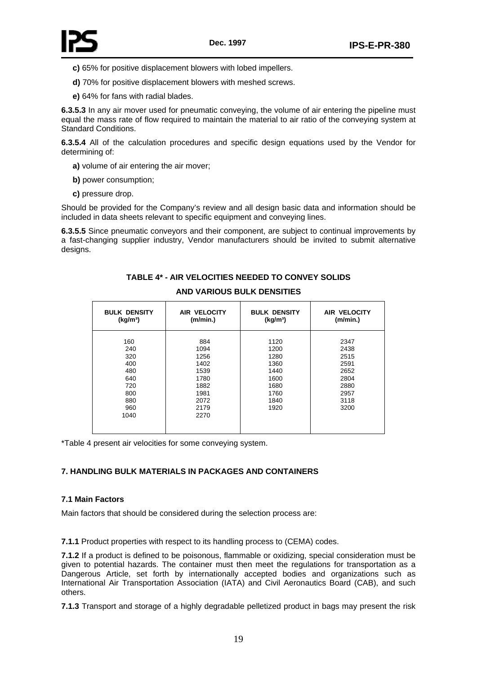<span id="page-19-0"></span>

- **c)** 65% for positive displacement blowers with lobed impellers.
- **d)** 70% for positive displacement blowers with meshed screws.
- **e)** 64% for fans with radial blades.

**6.3.5.3** In any air mover used for pneumatic conveying, the volume of air entering the pipeline must equal the mass rate of flow required to maintain the material to air ratio of the conveying system at Standard Conditions.

**6.3.5.4** All of the calculation procedures and specific design equations used by the Vendor for determining of:

- **a)** volume of air entering the air mover;
- **b)** power consumption;
- **c)** pressure drop.

Should be provided for the Company's review and all design basic data and information should be included in data sheets relevant to specific equipment and conveying lines.

**6.3.5.5** Since pneumatic conveyors and their component, are subject to continual improvements by a fast-changing supplier industry, Vendor manufacturers should be invited to submit alternative designs.

# **TABLE 4\* - AIR VELOCITIES NEEDED TO CONVEY SOLIDS**

#### **AND VARIOUS BULK DENSITIES**

| <b>BULK DENSITY</b>                                                        | <b>AIR VELOCITY</b>                                                                 | <b>BULK DENSITY</b>                                                          | <b>AIR VELOCITY</b>                                                          |
|----------------------------------------------------------------------------|-------------------------------------------------------------------------------------|------------------------------------------------------------------------------|------------------------------------------------------------------------------|
| (kg/m <sup>3</sup> )                                                       | (m/min.)                                                                            | (kg/m <sup>3</sup> )                                                         | (m/min.)                                                                     |
| 160<br>240<br>320<br>400<br>480<br>640<br>720<br>800<br>880<br>960<br>1040 | 884<br>1094<br>1256<br>1402<br>1539<br>1780<br>1882<br>1981<br>2072<br>2179<br>2270 | 1120<br>1200<br>1280<br>1360<br>1440<br>1600<br>1680<br>1760<br>1840<br>1920 | 2347<br>2438<br>2515<br>2591<br>2652<br>2804<br>2880<br>2957<br>3118<br>3200 |

\*Table 4 present air velocities for some conveying system.

## **7. HANDLING BULK MATERIALS IN PACKAGES AND CONTAINERS**

#### **7.1 Main Factors**

Main factors that should be considered during the selection process are:

**7.1.1** Product properties with respect to its handling process to (CEMA) codes.

**7.1.2** If a product is defined to be poisonous, flammable or oxidizing, special consideration must be given to potential hazards. The container must then meet the regulations for transportation as a Dangerous Article, set forth by internationally accepted bodies and organizations such as International Air Transportation Association (IATA) and Civil Aeronautics Board (CAB), and such others.

**7.1.3** Transport and storage of a highly degradable pelletized product in bags may present the risk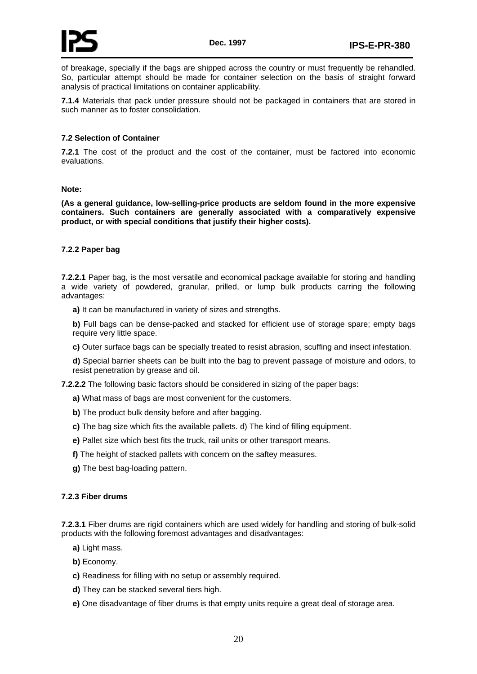<span id="page-20-0"></span>of breakage, specially if the bags are shipped across the country or must frequently be rehandled. So, particular attempt should be made for container selection on the basis of straight forward analysis of practical limitations on container applicability.

**7.1.4** Materials that pack under pressure should not be packaged in containers that are stored in such manner as to foster consolidation.

#### **7.2 Selection of Container**

**7.2.1** The cost of the product and the cost of the container, must be factored into economic evaluations.

#### **Note:**

**(As a general guidance, low-selling-price products are seldom found in the more expensive containers. Such containers are generally associated with a comparatively expensive product, or with special conditions that justify their higher costs).** 

#### **7.2.2 Paper bag**

**7.2.2.1** Paper bag, is the most versatile and economical package available for storing and handling a wide variety of powdered, granular, prilled, or lump bulk products carring the following advantages:

**a)** It can be manufactured in variety of sizes and strengths.

**b)** Full bags can be dense-packed and stacked for efficient use of storage spare; empty bags require very little space.

**c)** Outer surface bags can be specially treated to resist abrasion, scuffing and insect infestation.

**d)** Special barrier sheets can be built into the bag to prevent passage of moisture and odors, to resist penetration by grease and oil.

**7.2.2.2** The following basic factors should be considered in sizing of the paper bags:

- **a)** What mass of bags are most convenient for the customers.
- **b)** The product bulk density before and after bagging.
- **c)** The bag size which fits the available pallets. d) The kind of filling equipment.
- **e)** Pallet size which best fits the truck, rail units or other transport means.
- **f)** The height of stacked pallets with concern on the saftey measures.
- **g)** The best bag-loading pattern.

#### **7.2.3 Fiber drums**

**7.2.3.1** Fiber drums are rigid containers which are used widely for handling and storing of bulk-solid products with the following foremost advantages and disadvantages:

**a)** Light mass.

- **b)** Economy.
- **c)** Readiness for filling with no setup or assembly required.
- **d)** They can be stacked several tiers high.
- **e)** One disadvantage of fiber drums is that empty units require a great deal of storage area.